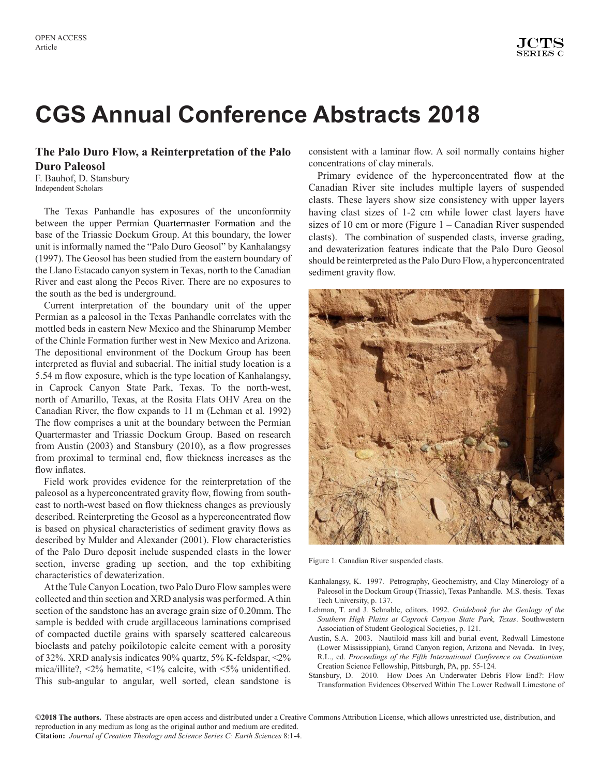# **CGS Annual Conference Abstracts 2018**

### **The Palo Duro Flow, a Reinterpretation of the Palo Duro Paleosol**

F. Bauhof, D. Stansbury Independent Scholars

The Texas Panhandle has exposures of the unconformity between the upper Permian Quartermaster Formation and the base of the Triassic Dockum Group. At this boundary, the lower unit is informally named the "Palo Duro Geosol" by Kanhalangsy (1997). The Geosol has been studied from the eastern boundary of the Llano Estacado canyon system in Texas, north to the Canadian River and east along the Pecos River. There are no exposures to the south as the bed is underground.

Current interpretation of the boundary unit of the upper Permian as a paleosol in the Texas Panhandle correlates with the mottled beds in eastern New Mexico and the Shinarump Member of the Chinle Formation further west in New Mexico and Arizona. The depositional environment of the Dockum Group has been interpreted as fluvial and subaerial. The initial study location is a 5.54 m flow exposure, which is the type location of Kanhalangsy, in Caprock Canyon State Park, Texas. To the north-west, north of Amarillo, Texas, at the Rosita Flats OHV Area on the Canadian River, the flow expands to 11 m (Lehman et al. 1992) The flow comprises a unit at the boundary between the Permian Quartermaster and Triassic Dockum Group. Based on research from Austin (2003) and Stansbury (2010), as a flow progresses from proximal to terminal end, flow thickness increases as the flow inflates.

Field work provides evidence for the reinterpretation of the paleosol as a hyperconcentrated gravity flow, flowing from southeast to north-west based on flow thickness changes as previously described. Reinterpreting the Geosol as a hyperconcentrated flow is based on physical characteristics of sediment gravity flows as described by Mulder and Alexander (2001). Flow characteristics of the Palo Duro deposit include suspended clasts in the lower section, inverse grading up section, and the top exhibiting characteristics of dewaterization.

At the Tule Canyon Location, two Palo Duro Flow samples were collected and thin section and XRD analysis was performed. A thin section of the sandstone has an average grain size of 0.20mm. The sample is bedded with crude argillaceous laminations comprised of compacted ductile grains with sparsely scattered calcareous bioclasts and patchy poikilotopic calcite cement with a porosity of 32%. XRD analysis indicates 90% quartz, 5% K-feldspar, <2% mica/illite?, <2% hematite, <1% calcite, with <5% unidentified. This sub-angular to angular, well sorted, clean sandstone is consistent with a laminar flow. A soil normally contains higher concentrations of clay minerals.

Primary evidence of the hyperconcentrated flow at the Canadian River site includes multiple layers of suspended clasts. These layers show size consistency with upper layers having clast sizes of 1-2 cm while lower clast layers have sizes of 10 cm or more (Figure 1 – Canadian River suspended clasts). The combination of suspended clasts, inverse grading, and dewaterization features indicate that the Palo Duro Geosol should be reinterpreted as the Palo Duro Flow, a hyperconcentrated sediment gravity flow.



Figure 1. Canadian River suspended clasts.

- Kanhalangsy, K. 1997. Petrography, Geochemistry, and Clay Minerology of a Paleosol in the Dockum Group (Triassic), Texas Panhandle. M.S. thesis. Texas Tech University, p. 137.
- Lehman, T. and J. Schnable, editors. 1992. *Guidebook for the Geology of the Southern High Plains at Caprock Canyon State Park, Texas*. Southwestern Association of Student Geological Societies, p. 121.
- Austin, S.A. 2003. Nautiloid mass kill and burial event, Redwall Limestone (Lower Mississippian), Grand Canyon region, Arizona and Nevada. In Ivey, R.L., ed. *Proceedings of the Fifth International Conference on Creationism.* Creation Science Fellowship, Pittsburgh, PA, pp. 55-124*.*
- Stansbury, D. 2010. How Does An Underwater Debris Flow End?: Flow Transformation Evidences Observed Within The Lower Redwall Limestone of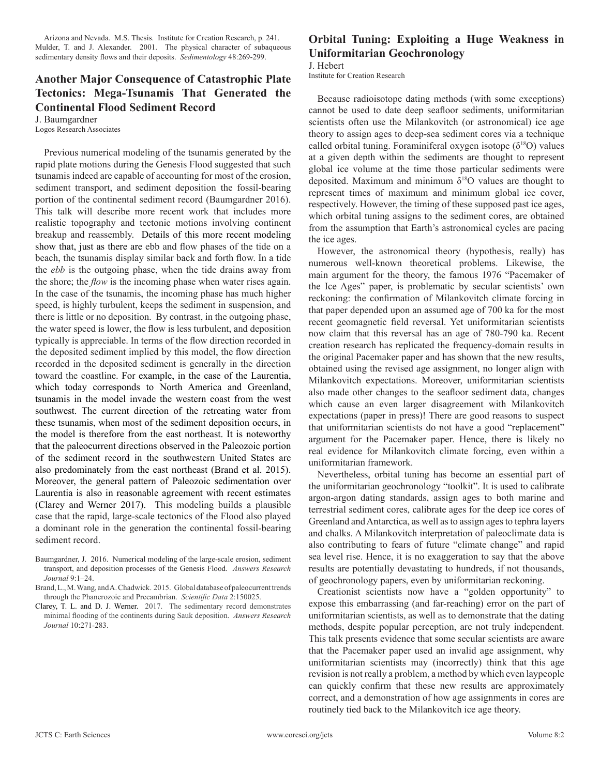Arizona and Nevada. M.S. Thesis. Institute for Creation Research, p. 241. Mulder, T. and J. Alexander. 2001. The physical character of subaqueous sedimentary density flows and their deposits. *Sedimentology* 48:269-299.

### **Another Major Consequence of Catastrophic Plate Tectonics: Mega-Tsunamis That Generated the Continental Flood Sediment Record**

J. Baumgardner Logos Research Associates

Previous numerical modeling of the tsunamis generated by the rapid plate motions during the Genesis Flood suggested that such tsunamis indeed are capable of accounting for most of the erosion, sediment transport, and sediment deposition the fossil-bearing portion of the continental sediment record (Baumgardner 2016). This talk will describe more recent work that includes more realistic topography and tectonic motions involving continent breakup and reassembly. Details of this more recent modeling show that, just as there are ebb and flow phases of the tide on a beach, the tsunamis display similar back and forth flow. In a tide the *ebb* is the outgoing phase, when the tide drains away from the shore; the *flow* is the incoming phase when water rises again. In the case of the tsunamis, the incoming phase has much higher speed, is highly turbulent, keeps the sediment in suspension, and there is little or no deposition. By contrast, in the outgoing phase, the water speed is lower, the flow is less turbulent, and deposition typically is appreciable. In terms of the flow direction recorded in the deposited sediment implied by this model, the flow direction recorded in the deposited sediment is generally in the direction toward the coastline. For example, in the case of the Laurentia, which today corresponds to North America and Greenland, tsunamis in the model invade the western coast from the west southwest. The current direction of the retreating water from these tsunamis, when most of the sediment deposition occurs, in the model is therefore from the east northeast. It is noteworthy that the paleocurrent directions observed in the Paleozoic portion of the sediment record in the southwestern United States are also predominately from the east northeast (Brand et al. 2015). Moreover, the general pattern of Paleozoic sedimentation over Laurentia is also in reasonable agreement with recent estimates (Clarey and Werner 2017). This modeling builds a plausible case that the rapid, large-scale tectonics of the Flood also played a dominant role in the generation the continental fossil-bearing sediment record.

- Baumgardner, J. 2016. Numerical modeling of the large-scale erosion, sediment transport, and deposition processes of the Genesis Flood. *Answers Research Journal* 9:1–24.
- Brand, L., M. Wang, and A. Chadwick. 2015. Global database ofpaleocurrenttrends through the Phanerozoic and Precambrian. *Scientific Data* 2:150025.
- Clarey, T. L. and D. J. Werner. 2017. The sedimentary record demonstrates minimal flooding of the continents during Sauk deposition. *Answers Research Journal* 10:271-283.

## **Orbital Tuning: Exploiting a Huge Weakness in Uniformitarian Geochronology**

J. Hebert

Institute for Creation Research

Because radioisotope dating methods (with some exceptions) cannot be used to date deep seafloor sediments, uniformitarian scientists often use the Milankovitch (or astronomical) ice age theory to assign ages to deep-sea sediment cores via a technique called orbital tuning. Foraminiferal oxygen isotope  $(\delta^{18}O)$  values at a given depth within the sediments are thought to represent global ice volume at the time those particular sediments were deposited. Maximum and minimum  $\delta^{18}$ O values are thought to represent times of maximum and minimum global ice cover, respectively. However, the timing of these supposed past ice ages, which orbital tuning assigns to the sediment cores, are obtained from the assumption that Earth's astronomical cycles are pacing the ice ages.

However, the astronomical theory (hypothesis, really) has numerous well-known theoretical problems. Likewise, the main argument for the theory, the famous 1976 "Pacemaker of the Ice Ages" paper, is problematic by secular scientists' own reckoning: the confirmation of Milankovitch climate forcing in that paper depended upon an assumed age of 700 ka for the most recent geomagnetic field reversal. Yet uniformitarian scientists now claim that this reversal has an age of 780-790 ka. Recent creation research has replicated the frequency-domain results in the original Pacemaker paper and has shown that the new results, obtained using the revised age assignment, no longer align with Milankovitch expectations. Moreover, uniformitarian scientists also made other changes to the seafloor sediment data, changes which cause an even larger disagreement with Milankovitch expectations (paper in press)! There are good reasons to suspect that uniformitarian scientists do not have a good "replacement" argument for the Pacemaker paper. Hence, there is likely no real evidence for Milankovitch climate forcing, even within a uniformitarian framework.

Nevertheless, orbital tuning has become an essential part of the uniformitarian geochronology "toolkit". It is used to calibrate argon-argon dating standards, assign ages to both marine and terrestrial sediment cores, calibrate ages for the deep ice cores of Greenland and Antarctica, as well as to assign ages to tephra layers and chalks. A Milankovitch interpretation of paleoclimate data is also contributing to fears of future "climate change" and rapid sea level rise. Hence, it is no exaggeration to say that the above results are potentially devastating to hundreds, if not thousands, of geochronology papers, even by uniformitarian reckoning.

Creationist scientists now have a "golden opportunity" to expose this embarrassing (and far-reaching) error on the part of uniformitarian scientists, as well as to demonstrate that the dating methods, despite popular perception, are not truly independent. This talk presents evidence that some secular scientists are aware that the Pacemaker paper used an invalid age assignment, why uniformitarian scientists may (incorrectly) think that this age revision is not really a problem, a method by which even laypeople can quickly confirm that these new results are approximately correct, and a demonstration of how age assignments in cores are routinely tied back to the Milankovitch ice age theory.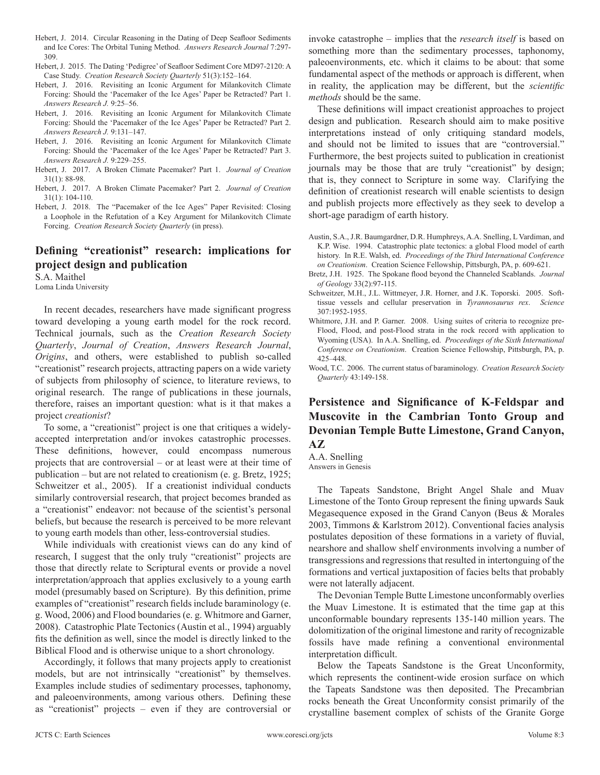- Hebert, J. 2014. Circular Reasoning in the Dating of Deep Seafloor Sediments and Ice Cores: The Orbital Tuning Method. *Answers Research Journal* 7:297- 309.
- Hebert, J. 2015. The Dating 'Pedigree' of Seafloor Sediment Core MD97-2120: A Case Study. *Creation Research Society Quarterly* 51(3):152–164.
- Hebert, J. 2016. Revisiting an Iconic Argument for Milankovitch Climate Forcing: Should the 'Pacemaker of the Ice Ages' Paper be Retracted? Part 1. *Answers Research J.* 9:25–56.
- Hebert, J. 2016. Revisiting an Iconic Argument for Milankovitch Climate Forcing: Should the 'Pacemaker of the Ice Ages' Paper be Retracted? Part 2. *Answers Research J.* 9:131–147.
- Hebert, J. 2016. Revisiting an Iconic Argument for Milankovitch Climate Forcing: Should the 'Pacemaker of the Ice Ages' Paper be Retracted? Part 3. *Answers Research J.* 9:229–255.
- Hebert, J. 2017. A Broken Climate Pacemaker? Part 1. *Journal of Creation* 31(1): 88-98.
- Hebert, J. 2017. A Broken Climate Pacemaker? Part 2. *Journal of Creation* 31(1): 104-110.
- Hebert, J. 2018. The "Pacemaker of the Ice Ages" Paper Revisited: Closing a Loophole in the Refutation of a Key Argument for Milankovitch Climate Forcing. *Creation Research Society Quarterly* (in press).

#### **Defining "creationist" research: implications for project design and publication**

S.A. Maithel Loma Linda University

In recent decades, researchers have made significant progress toward developing a young earth model for the rock record. Technical journals, such as the *Creation Research Society Quarterly*, *Journal of Creation*, *Answers Research Journal*, *Origins*, and others, were established to publish so-called "creationist" research projects, attracting papers on a wide variety of subjects from philosophy of science, to literature reviews, to original research. The range of publications in these journals, therefore, raises an important question: what is it that makes a project *creationist*?

To some, a "creationist" project is one that critiques a widelyaccepted interpretation and/or invokes catastrophic processes. These definitions, however, could encompass numerous projects that are controversial – or at least were at their time of publication – but are not related to creationism (e. g. Bretz, 1925; Schweitzer et al., 2005). If a creationist individual conducts similarly controversial research, that project becomes branded as a "creationist" endeavor: not because of the scientist's personal beliefs, but because the research is perceived to be more relevant to young earth models than other, less-controversial studies.

While individuals with creationist views can do any kind of research, I suggest that the only truly "creationist" projects are those that directly relate to Scriptural events or provide a novel interpretation/approach that applies exclusively to a young earth model (presumably based on Scripture). By this definition, prime examples of "creationist" research fields include baraminology (e. g. Wood, 2006) and Flood boundaries (e. g. Whitmore and Garner, 2008). Catastrophic Plate Tectonics (Austin et al., 1994) arguably fits the definition as well, since the model is directly linked to the Biblical Flood and is otherwise unique to a short chronology.

Accordingly, it follows that many projects apply to creationist models, but are not intrinsically "creationist" by themselves. Examples include studies of sedimentary processes, taphonomy, and paleoenvironments, among various others. Defining these as "creationist" projects – even if they are controversial or

invoke catastrophe – implies that the *research itself* is based on something more than the sedimentary processes, taphonomy, paleoenvironments, etc. which it claims to be about: that some fundamental aspect of the methods or approach is different, when in reality, the application may be different, but the *scientific methods* should be the same.

These definitions will impact creationist approaches to project design and publication. Research should aim to make positive interpretations instead of only critiquing standard models, and should not be limited to issues that are "controversial." Furthermore, the best projects suited to publication in creationist journals may be those that are truly "creationist" by design; that is, they connect to Scripture in some way. Clarifying the definition of creationist research will enable scientists to design and publish projects more effectively as they seek to develop a short-age paradigm of earth history.

- Austin, S.A., J.R. Baumgardner, D.R. Humphreys, A.A. Snelling, L Vardiman, and K.P. Wise. 1994. Catastrophic plate tectonics: a global Flood model of earth history. In R.E. Walsh, ed. *Proceedings of the Third International Conference on Creationism*. Creation Science Fellowship, Pittsburgh, PA, p. 609-621.
- Bretz, J.H. 1925. The Spokane flood beyond the Channeled Scablands. *Journal of Geology* 33(2):97-115.
- Schweitzer, M.H., J.L. Wittmeyer, J.R. Horner, and J.K. Toporski. 2005. Softtissue vessels and cellular preservation in *Tyrannosaurus rex*. *Science*  307:1952-1955.
- Whitmore, J.H. and P. Garner. 2008. Using suites of criteria to recognize pre-Flood, Flood, and post-Flood strata in the rock record with application to Wyoming (USA). In A.A. Snelling, ed. *Proceedings of the Sixth International Conference on Creationism*. Creation Science Fellowship, Pittsburgh, PA, p. 425–448.
- Wood, T.C. 2006. The current status of baraminology. *Creation Research Society Quarterly* 43:149-158.

## **Persistence and Significance of K-Feldspar and Muscovite in the Cambrian Tonto Group and Devonian Temple Butte Limestone, Grand Canyon, AZ**

A.A. Snelling Answers in Genesis

The Tapeats Sandstone, Bright Angel Shale and Muav Limestone of the Tonto Group represent the fining upwards Sauk Megasequence exposed in the Grand Canyon (Beus & Morales 2003, Timmons & Karlstrom 2012). Conventional facies analysis postulates deposition of these formations in a variety of fluvial, nearshore and shallow shelf environments involving a number of transgressions and regressions that resulted in intertonguing of the formations and vertical juxtaposition of facies belts that probably were not laterally adjacent.

The Devonian Temple Butte Limestone unconformably overlies the Muav Limestone. It is estimated that the time gap at this unconformable boundary represents 135-140 million years. The dolomitization of the original limestone and rarity of recognizable fossils have made refining a conventional environmental interpretation difficult.

Below the Tapeats Sandstone is the Great Unconformity, which represents the continent-wide erosion surface on which the Tapeats Sandstone was then deposited. The Precambrian rocks beneath the Great Unconformity consist primarily of the crystalline basement complex of schists of the Granite Gorge